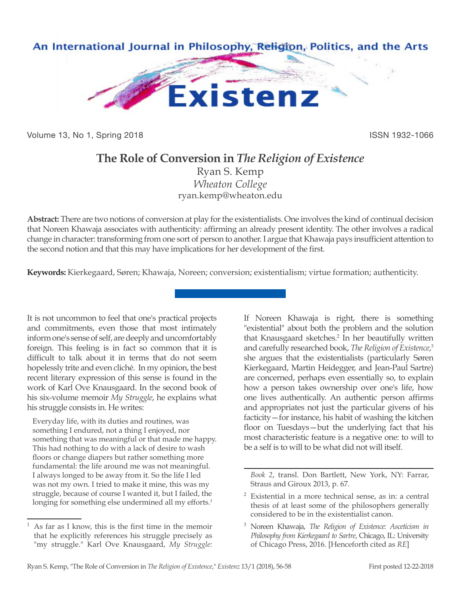

Volume 13, No 1, Spring 2018 **ISSN 1932-1066** ISSN 1932-1066

## **The Role of Conversion in** *The Religion of Existence*

Ryan S. Kemp *Wheaton College* ryan.kemp@wheaton.edu

**Abstract:** There are two notions of conversion at play for the existentialists. One involves the kind of continual decision that Noreen Khawaja associates with authenticity: affirming an already present identity. The other involves a radical change in character: transforming from one sort of person to another. I argue that Khawaja pays insufficient attention to the second notion and that this may have implications for her development of the first.

**Keywords:** Kierkegaard, Søren; Khawaja, Noreen; conversion; existentialism; virtue formation; authenticity.

It is not uncommon to feel that one's practical projects and commitments, even those that most intimately inform one's sense of self, are deeply and uncomfortably foreign. This feeling is in fact so common that it is difficult to talk about it in terms that do not seem hopelessly trite and even cliché. In my opinion, the best recent literary expression of this sense is found in the work of Karl Ove Knausgaard. In the second book of his six-volume memoir *My Struggle*, he explains what his struggle consists in. He writes:

Everyday life, with its duties and routines, was something I endured, not a thing I enjoyed, nor something that was meaningful or that made me happy. This had nothing to do with a lack of desire to wash floors or change diapers but rather something more fundamental: the life around me was not meaningful. I always longed to be away from it. So the life I led was not my own. I tried to make it mine, this was my struggle, because of course I wanted it, but I failed, the longing for something else undermined all my efforts.<sup>1</sup>

If Noreen Khawaja is right, there is something "existential" about both the problem and the solution that Knausgaard sketches.<sup>2</sup> In her beautifully written and carefully researched book, *The Religion of Existence*, 3 she argues that the existentialists (particularly Søren Kierkegaard, Martin Heidegger, and Jean-Paul Sartre) are concerned, perhaps even essentially so, to explain how a person takes ownership over one's life, how one lives authentically. An authentic person affirms and appropriates not just the particular givens of his facticity—for instance, his habit of washing the kitchen floor on Tuesdays—but the underlying fact that his most characteristic feature is a negative one: to will to be a self is to will to be what did not will itself.

<sup>1</sup> As far as I know, this is the first time in the memoir that he explicitly references his struggle precisely as "my struggle." Karl Ove Knausgaard, *My Struggle:* 

*Book 2*, transl. Don Bartlett, New York, NY: Farrar, Straus and Giroux 2013, p. 67.

<sup>2</sup> Existential in a more technical sense, as in: a central thesis of at least some of the philosophers generally considered to be in the existentialist canon.

<sup>3</sup> Noreen Khawaja, *The Religion of Existence: Asceticism in Philosophy from Kierkegaard to Sartre*, Chicago, IL: University of Chicago Press, 2016. [Henceforth cited as *RE*]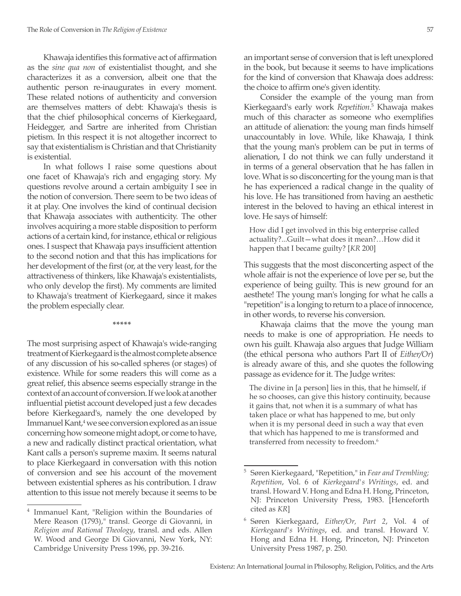Khawaja identifies this formative act of affirmation as the *sine qua non* of existentialist thought, and she characterizes it as a conversion, albeit one that the authentic person re-inaugurates in every moment. These related notions of authenticity and conversion are themselves matters of debt: Khawaja's thesis is that the chief philosophical concerns of Kierkegaard, Heidegger, and Sartre are inherited from Christian pietism. In this respect it is not altogether incorrect to say that existentialism is Christian and that Christianity is existential.

In what follows I raise some questions about one facet of Khawaja's rich and engaging story. My questions revolve around a certain ambiguity I see in the notion of conversion. There seem to be two ideas of it at play. One involves the kind of continual decision that Khawaja associates with authenticity. The other involves acquiring a more stable disposition to perform actions of a certain kind, for instance, ethical or religious ones. I suspect that Khawaja pays insufficient attention to the second notion and that this has implications for her development of the first (or, at the very least, for the attractiveness of thinkers, like Khawaja's existentialists, who only develop the first). My comments are limited to Khawaja's treatment of Kierkegaard, since it makes the problem especially clear.

**\*\*\*\*\***

The most surprising aspect of Khawaja's wide-ranging treatment of Kierkegaard is the almost complete absence of any discussion of his so-called spheres (or stages) of existence. While for some readers this will come as a great relief, this absence seems especially strange in the context of an account of conversion. If we look at another influential pietist account developed just a few decades before Kierkegaard's, namely the one developed by Immanuel Kant,<sup>4</sup> we see conversion explored as an issue concerning how someone might adopt, or come to have, a new and radically distinct practical orientation, what Kant calls a person's supreme maxim. It seems natural to place Kierkegaard in conversation with this notion of conversion and see his account of the movement between existential spheres as his contribution. I draw attention to this issue not merely because it seems to be

an important sense of conversion that is left unexplored in the book, but because it seems to have implications for the kind of conversion that Khawaja does address: the choice to affirm one's given identity.

Consider the example of the young man from Kierkegaard's early work *Repetition*. 5 Khawaja makes much of this character as someone who exemplifies an attitude of alienation: the young man finds himself unaccountably in love. While, like Khawaja, I think that the young man's problem can be put in terms of alienation, I do not think we can fully understand it in terms of a general observation that he has fallen in love. What is so disconcerting for the young man is that he has experienced a radical change in the quality of his love. He has transitioned from having an aesthetic interest in the beloved to having an ethical interest in love. He says of himself:

How did I get involved in this big enterprise called actuality?...Guilt—what does it mean?…How did it happen that I became guilty? [*KR* 200]

This suggests that the most disconcerting aspect of the whole affair is not the experience of love per se, but the experience of being guilty. This is new ground for an aesthete! The young man's longing for what he calls a "repetition" is a longing to return to a place of innocence, in other words, to reverse his conversion.

Khawaja claims that the move the young man needs to make is one of appropriation. He needs to own his guilt. Khawaja also argues that Judge William (the ethical persona who authors Part II of *Either/Or*) is already aware of this, and she quotes the following passage as evidence for it. The Judge writes:

The divine in [a person] lies in this, that he himself, if he so chooses, can give this history continuity, because it gains that, not when it is a summary of what has taken place or what has happened to me, but only when it is my personal deed in such a way that even that which has happened to me is transformed and transferred from necessity to freedom.<sup>6</sup>

<sup>4</sup> Immanuel Kant, "Religion within the Boundaries of Mere Reason (1793)," transl. George di Giovanni, in *Religion and Rational Theology*, transl. and eds. Allen W. Wood and George Di Giovanni, New York, NY: Cambridge University Press 1996, pp. 39-216.

<sup>5</sup> Søren Kierkegaard, "Repetition," in *Fear and Trembling; Repetition*, Vol. 6 of *Kierkegaard's Writings*, ed. and transl. Howard V. Hong and Edna H. Hong, Princeton, NJ: Princeton University Press, 1983. [Henceforth cited as *KR*]

<sup>6</sup> Søren Kierkegaard, *Either/Or, Part 2*, Vol. 4 of *Kierkegaard's Writings*, ed. and transl. Howard V. Hong and Edna H. Hong, Princeton, NJ: Princeton University Press 1987, p. 250.